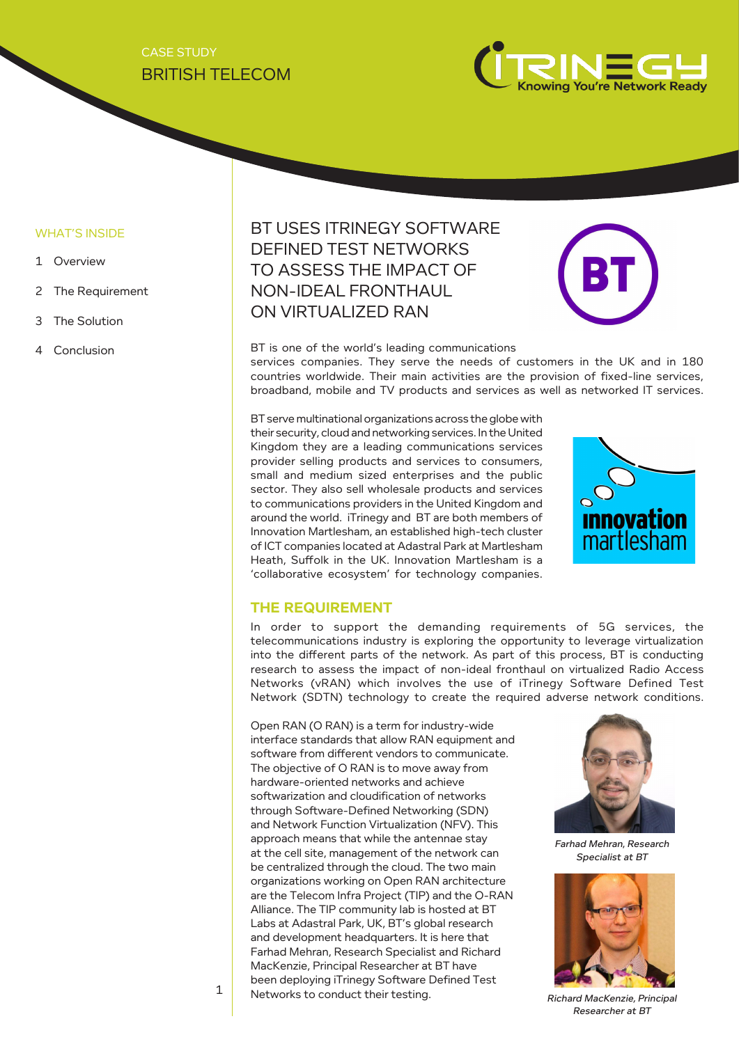## BRITISH TELECOM CASE STUDY



#### WHAT'S INSIDE

- 1 Overview
- 2 The Requirement
- 3 The Solution
- 

# BT USES ITRINEGY SOFTWARE DEFINED TEST NETWORKS TO ASSESS THE IMPACT OF NON-IDEAL FRONTHAUL ON VIRTUALIZED RAN



4 Conclusion BT is one of the world's leading communications

services companies. They serve the needs of customers in the UK and in 180 countries worldwide. Their main activities are the provision of fixed-line services, broadband, mobile and TV products and services as well as networked IT services.

BT serve multinational organizations across the globe with their security, cloud and networking services. In the United Kingdom they are a leading communications services provider selling products and services to consumers, small and medium sized enterprises and the public sector. They also sell wholesale products and services to communications providers in the United Kingdom and around the world. iTrinegy and BT are both members of Innovation Martlesham, an established high-tech cluster of ICT companies located at Adastral Park at Martlesham Heath, Suffolk in the UK. Innovation Martlesham is a 'collaborative ecosystem' for technology companies.



#### **THE REQUIREMENT**

In order to support the demanding requirements of 5G services, the telecommunications industry is exploring the opportunity to leverage virtualization into the different parts of the network. As part of this process, BT is conducting research to assess the impact of non-ideal fronthaul on virtualized Radio Access Networks (vRAN) which involves the use of iTrinegy Software Defined Test Network (SDTN) technology to create the required adverse network conditions.

Open RAN (O RAN) is a term for industry-wide interface standards that allow RAN equipment and software from different vendors to communicate. The objective of O RAN is to move away from hardware-oriented networks and achieve softwarization and cloudification of networks through Software-Defined Networking (SDN) and Network Function Virtualization (NFV). This approach means that while the antennae stay at the cell site, management of the network can be centralized through the cloud. The two main organizations working on Open RAN architecture are the Telecom Infra Project (TIP) and the O-RAN Alliance. The TIP community lab is hosted at BT Labs at Adastral Park, UK, BT's global research and development headquarters. It is here that Farhad Mehran, Research Specialist and Richard MacKenzie, Principal Researcher at BT have been deploying iTrinegy Software Defined Test Networks to conduct their testing.



Farhad Mehran, Research Specialist at BT



Richard MacKenzie, Principal Researcher at BT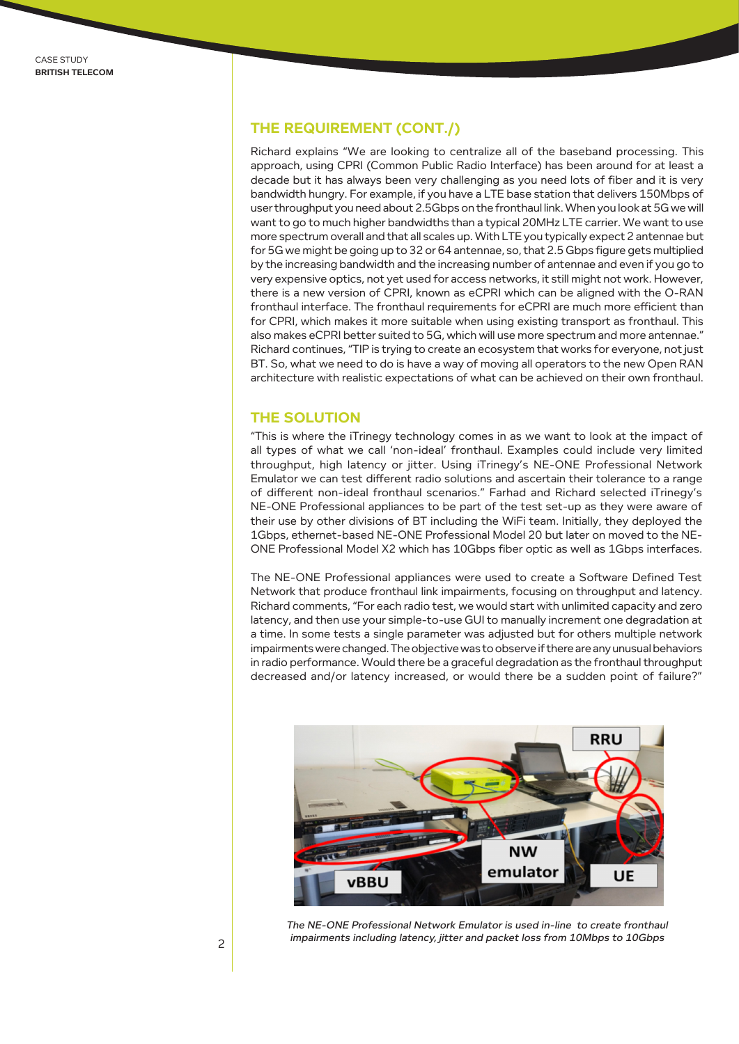### **THE REQUIREMENT (CONT./)**

Richard explains "We are looking to centralize all of the baseband processing. This approach, using CPRI (Common Public Radio Interface) has been around for at least a decade but it has always been very challenging as you need lots of fiber and it is very bandwidth hungry. For example, if you have a LTE base station that delivers 150Mbps of user throughput you need about 2.5Gbps on the fronthaul link. When you look at 5G we will want to go to much higher bandwidths than a typical 20MHz LTE carrier. We want to use more spectrum overall and that all scales up. With LTE you typically expect 2 antennae but for 5G we might be going up to 32 or 64 antennae, so, that 2.5 Gbps figure gets multiplied by the increasing bandwidth and the increasing number of antennae and even if you go to very expensive optics, not yet used for access networks, it still might not work. However, there is a new version of CPRI, known as eCPRI which can be aligned with the O-RAN fronthaul interface. The fronthaul requirements for eCPRI are much more efficient than for CPRI, which makes it more suitable when using existing transport as fronthaul. This also makes eCPRI better suited to 5G, which will use more spectrum and more antennae." Richard continues, "TIP is trying to create an ecosystem that works for everyone, not just BT. So, what we need to do is have a way of moving all operators to the new Open RAN architecture with realistic expectations of what can be achieved on their own fronthaul.

#### **THE SOLUTION**

"This is where the iTrinegy technology comes in as we want to look at the impact of all types of what we call 'non-ideal' fronthaul. Examples could include very limited throughput, high latency or jitter. Using iTrinegy's NE-ONE Professional Network Emulator we can test different radio solutions and ascertain their tolerance to a range of different non-ideal fronthaul scenarios." Farhad and Richard selected iTrinegy's NE-ONE Professional appliances to be part of the test set-up as they were aware of their use by other divisions of BT including the WiFi team. Initially, they deployed the 1Gbps, ethernet-based NE-ONE Professional Model 20 but later on moved to the NE-ONE Professional Model X2 which has 10Gbps fiber optic as well as 1Gbps interfaces.

The NE-ONE Professional appliances were used to create a Software Defined Test Network that produce fronthaul link impairments, focusing on throughput and latency. Richard comments, "For each radio test, we would start with unlimited capacity and zero latency, and then use your simple-to-use GUI to manually increment one degradation at a time. In some tests a single parameter was adjusted but for others multiple network impairments were changed. The objective was to observe if there are any unusual behaviors in radio performance. Would there be a graceful degradation as the fronthaul throughput decreased and/or latency increased, or would there be a sudden point of failure?"



The NE-ONE Professional Network Emulator is used in-line to create fronthaul impairments including latency, jitter and packet loss from 10Mbps to 10Gbps 2